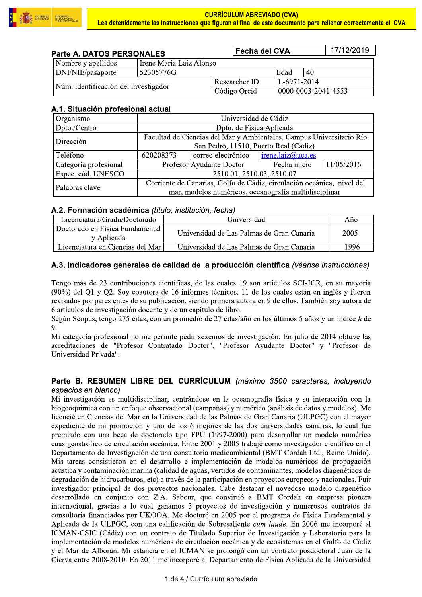

| Parte A. DATOS PERSONALES            |           |                         | Fecha del CVA |                     |  |  |
|--------------------------------------|-----------|-------------------------|---------------|---------------------|--|--|
| Nombre y apellidos                   |           | Irene María Laiz Alonso |               |                     |  |  |
| DNI/NIE/pasaporte                    | 52305776G |                         | Edad          | 40                  |  |  |
| Núm. identificación del investigador |           | Researcher ID           | L-6971-2014   |                     |  |  |
|                                      |           | Código Orcid            |               | 0000-0003-2041-4553 |  |  |

## A.1. Situación profesional actual

| Organismo             | Universidad de Cádiz                                                   |                    |                   |            |  |  |
|-----------------------|------------------------------------------------------------------------|--------------------|-------------------|------------|--|--|
| Dpto./Centro          | Dpto. de Física Aplicada                                               |                    |                   |            |  |  |
| Dirección             | Facultad de Ciencias del Mar y Ambientales, Campus Universitario Río   |                    |                   |            |  |  |
|                       | San Pedro, 11510, Puerto Real (Cádiz)                                  |                    |                   |            |  |  |
| Teléfono              | 620208373                                                              | correo electrónico | irene.laiz@uca.es |            |  |  |
| Categoría profesional | Profesor Ayudante Doctor                                               |                    | Fecha inicio      | 11/05/2016 |  |  |
| Espec. cód. UNESCO    | 2510.01, 2510.03, 2510.07                                              |                    |                   |            |  |  |
| Palabras clave        | Corriente de Canarias, Golfo de Cádiz, circulación oceánica, nivel del |                    |                   |            |  |  |
|                       | mar, modelos numéricos, oceanografía multidisciplinar                  |                    |                   |            |  |  |

## A.2. Formación académica (título, institución, fecha)

| Licenciatura/Grado/Doctorado                    | Universidad                               | Año  |
|-------------------------------------------------|-------------------------------------------|------|
| Doctorado en Física Fundamental  <br>v Aplicada | Universidad de Las Palmas de Gran Canaria | 2005 |
| Licenciatura en Ciencias del Mar l              | Universidad de Las Palmas de Gran Canaria | 1996 |

## A.3. Indicadores generales de calidad de la producción científica (véanse instrucciones)

Tengo más de 23 contribuciones científicas, de las cuales 19 son artículos SCI-JCR, en su mayoría (90%) del Q1 y Q2. Soy coautora de 16 informes técnicos, 11 de los cuales están en inglés y fueron revisados por pares entes de su publicación, siendo primera autora en 9 de ellos. También soy autora de 6 artículos de investigación docente y de un capítulo de libro.

Según Scopus, tengo 275 citas, con un promedio de 27 citas/año en los últimos 5 años y un índice h de 9.

Mi categoría profesional no me permite pedir sexenios de investigación. En julio de 2014 obtuve las acreditaciones de "Profesor Contratado Doctor", "Profesor Ayudante Doctor" y "Profesor de Universidad Privada".

## Parte B. RESUMEN LIBRE DEL CURRÍCULUM (máximo 3500 caracteres, incluyendo espacios en blanco)

Mi investigación es multidisciplinar, centrándose en la oceanografía física y su interacción con la biogeoquímica con un enfoque observacional (campañas) y numérico (análisis de datos y modelos). Me licencié en Ciencias del Mar en la Universidad de las Palmas de Gran Canaria (ULPGC) con el mayor expediente de mi promoción y uno de los 6 mejores de las dos universidades canarias, lo cual fue premiado con una beca de doctorado tipo FPU (1997-2000) para desarrollar un modelo numérico cuasigeostrófico de circulación oceánica. Entre 2001 y 2005 trabajé como investigador científico en el Departamento de Investigación de una consultoría medioambiental (BMT Cordah Ltd., Reino Unido). Mis tareas consistieron en el desarrollo e implementación de modelos numéricos de propagación acústica y contaminación marina (calidad de aguas, vertidos de contaminantes, modelos diagenéticos de degradación de hidrocarburos, etc) a través de la participación en proyectos europeos y nacionales. Fuir investigador principal de dos proyectos nacionales. Cabe destacar el novedoso modelo diagenético desarrollado en conjunto con Z.A. Sabeur, que convirtió a BMT Cordah en empresa pionera internacional, gracias a lo cual ganamos 3 proyectos de investigación y numerosos contratos de consultoría financiados por UKOOA. Me doctoré en 2005 por el programa de Física Fundamental y Aplicada de la ULPGC, con una calificación de Sobresaliente cum laude. En 2006 me incorporé al ICMAN-CSIC (Cádiz) con un contrato de Titulado Superior de Investigación y Laboratorio para la implementación de modelos numéricos de circulación oceánica y de ecosistemas en el Golfo de Cádiz y el Mar de Alborán. Mi estancia en el ICMAN se prolongó con un contrato posdoctoral Juan de la Cierva entre 2008-2010. En 2011 me incorporé al Departamento de Física Aplicada de la Universidad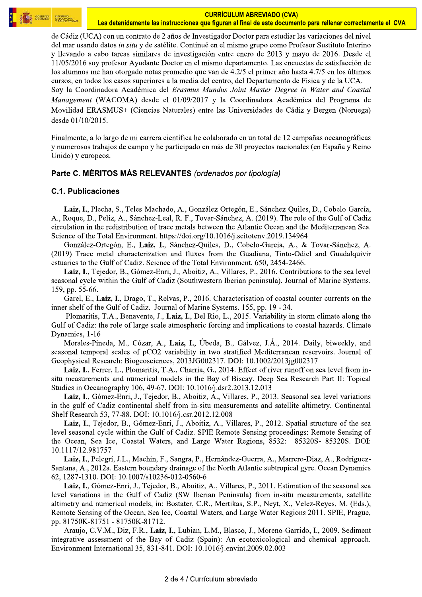

**Lea detenidamente las instrucciones que figuran al final de este documento para rellenar correctamente el CVA<br>le Cádiz (UCA) con un contrato de 2 años de Investigador Doctor para estudiar las variaciones del nivel<br>el mar** de Cádiz (UCA) con un contrato de 2 años de Investigador Doctor para estudiar las variaciones del nivel del mar usando datos in situ y de satélite. Continué en el mismo grupo como Profesor Sustituto Interino y llevando a cabo tareas similares de investigación entre enero de 2013 y mayo de 2016. Desde el  $11/05/2016$  soy profesor Ayudante Doctor en el mismo departamento. Las encuestas de satisfacción de los alumnos me han otorgado notas promedio que van de 4.2/5 el primer año hasta 4.7/5 en los últimos cursos, en todos los casos superiores a la media del centro, del Departamento de Física y de la UCA. Soy la Coordinadora Académica del Erasmus Mundus Joint Master Degree in Water and Coastal Management (WACOMA) desde el 01/09/2017 y la Coordinadora Académica del Programa de Movilidad ERASMUS+ (Ciencias Naturales) entre las Universidades de Cádiz y Bergen (Noruega) desde 01/10/2015.

Finalmente, a lo largo de mi carrera científica he colaborado en un total de 12 campañas oceanográficas y numerosos trabajos de campo y he participado en más de 30 proyectos nacionales (en España y Reino Unido) y europeos.

### $\overline{a}$ Parte C. MERITOS MAS RELEVANTES (*ordenados por tipologia)*

### $\mathbf{L}$  $\mathsf{G}.$ 1. Publicaciones

Laiz, I., Plecha, S., Teles-Machado, A., González-Ortegón, E., Sánchez-Quiles, D., Cobelo-García, A., Roque, D., Peliz, A., Sánchez-Leal, R. F., Tovar-Sánchez, A. (2019). The role of the Gulf of Cadiz eirculation in the redistribution of trace metals between the Atlantic Ocean and the Mediterranean Sea. Science of the Total Environment. https://doi.org/10.1016/j.scitotenv.2019.134964

González-Ortegón, E., Laiz, I., Sánchez-Ouiles, D., Cobelo-Garcia, A., & Tovar-Sánchez, A.  $(2019)$  Trace metal characterization and fluxes from the Guadiana, Tinto-Odiel and Guadalquivir estuaries to the Gulf of Cadiz. Science of the Total Environment, 650, 2454-2466.

Laiz, I., Tejedor, B., Gómez-Enri, J., Aboitiz, A., Villares, P., 2016. Contributions to the sea level seasonal cycle within the Gulf of Cadiz (Southwestern Iberian peninsula). Journal of Marine Systems. 159, pp. 55-66.

Garel, E., Laiz, I., Drago, T., Relvas, P., 2016. Characterisation of coastal counter-currents on the inner shelf of the Gulf of Cadiz. Journal of Marine Systems. 155, pp. 19 - 34.

Plomaritis, T.A., Benavente, J., Laiz, I., Del Rio, L., 2015. Variability in storm climate along the Gulf of Cadiz: the role of large scale atmospheric forcing and implications to coastal hazards. Climate Dynamics,  $1-16$ 

Morales-Pineda, M., Cózar, A., Laiz, I., Úbeda, B., Gálvez, J.Á., 2014. Daily, biweekly, and seasonal temporal scales of pCO2 variability in two stratified Mediterranean reservoirs. Journal of Geophysical Research: Biogeosciences, 2013JG002317. DOI:  $10.1002/2013$ jg002317

Laiz, I., Ferrer, L., Plomaritis, T.A., Charria, G., 2014. Effect of river runoff on sea level from insitu measurements and numerical models in the Bay of Biscay. Deep Sea Research Part II: Topical Studies in Oceanography 106, 49-67. DOI:  $10.1016$ /j.dsr $2.2013.12.013$ 

Laiz, I., Gómez-Enri, J., Tejedor, B., Aboitiz, A., Villares, P., 2013. Seasonal sea level variations in the gulf of Cadiz continental shelf from in-situ measurements and satellite altimetry. Continental Shelf Research 53, 77-88. DOI: 10.1016/j.csr.2012.12.008

Laiz, I., Tejedor, B., Gómez-Enri, J., Aboitiz, A., Villares, P., 2012. Spatial structure of the sea level seasonal cycle within the Gulf of Cadiz. SPIE Remote Sensing proceedings: Remote Sensing of the Ocean, Sea Ice, Coastal Waters, and Large Water Regions, 8532: 85320S-85320S. DOI: 10.1117/12.981757

Laiz, I., Pelegrí, J.L., Machin, F., Sangra, P., Hernández-Guerra, A., Marrero-Diaz, A., Rodríguez-Santana, A., 2012a. Eastern boundary drainage of the North Atlantic subtropical gyre. Ocean Dynamics 62, 1287-1310. DOI: 10.1007/s10236-012-0560-6

Laiz, I., Gómez-Enri, J., Tejedor, B., Aboitiz, A., Villares, P., 2011. Estimation of the seasonal sea level variations in the Gulf of Cadiz (SW Iberian Peninsula) from in-situ measurements, satellite altimetry and numerical models, in: Bostater, C.R., Mertikas, S.P., Neyt, X., Velez-Reyes, M. (Eds.), Remote Sensing of the Ocean, Sea Ice, Coastal Waters, and Large Water Regions 2011. SPIE, Prague, pp.  $81750K-81751 - 81750K-81712$ .

Araujo, C.V.M., Diz, F.R., Laiz, I., Lubian, L.M., Blasco, J., Moreno-Garrido, I., 2009. Sediment integrative assessment of the Bay of Cadiz (Spain): An ecotoxicological and chemical approach. Environment International 35, 831-841. DOI: 10.1016/j.envint.2009.02.003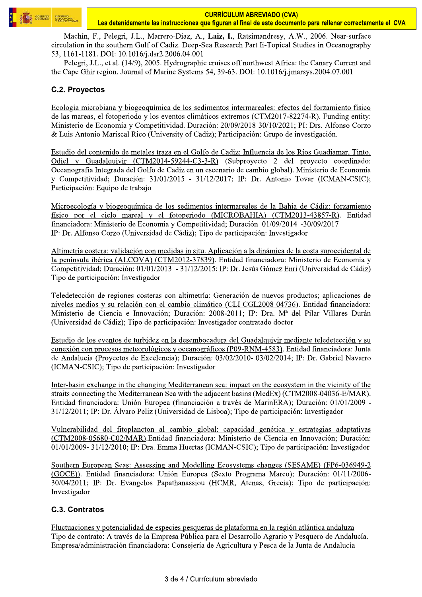

Machín, F., Pelegri, J.L., Marrero-Diaz, A., Laiz, I., Ratsimandresy, A.W., 2006. Near-surface circulation in the southern Gulf of Cadiz. Deep-Sea Research Part Ii-Topical Studies in Oceanography 53, 1161-1181. DOI: 10.1016/j.dsr2.2006.04.001

Pelegri, J.L., et al. (14/9), 2005. Hydrographic cruises off northwest Africa: the Canary Current and the Cape Ghir region. Journal of Marine Systems 54, 39-63. DOI: 10.1016/j.jmarsys.2004.07.001

# **C.2. Proyectos**

Ecología microbiana y biogeoquímica de los sedimentos intermareales: efectos del forzamiento físico de las mareas, el fotoperiodo y los eventos climáticos extremos (CTM2017-82274-R). Funding entity: Ministerio de Economía y Competitividad. Duración: 20/09/2018-30/10/2021: PI: Drs. Alfonso Corzo & Luis Antonio Mariscal Rico (University of Cadiz); Participación: Grupo de investigación.

Estudio del contenido de metales traza en el Golfo de Cadiz: Influencia de los Ríos Guadiamar, Tinto, Odiel v Guadalquivir (CTM2014-59244-C3-3-R) (Subprovecto 2 del provecto coordinado: Oceanografía Integrada del Golfo de Cadiz en un escenario de cambio global). Ministerio de Economía y Competitividad; Duración: 31/01/2015 - 31/12/2017; IP: Dr. Antonio Tovar (ICMAN-CSIC); Participación: Equipo de trabajo

Microecología y biogeoquímica de los sedimentos intermareales de la Bahía de Cádiz: forzamiento físico por el ciclo mareal y el fotoperiodo (MICROBAHIA) (CTM2013-43857-R). Entidad financiadora: Ministerio de Economía y Competitividad; Duración 01/09/2014 -30/09/2017 IP: Dr. Alfonso Corzo (Universidad de Cádiz); Tipo de participación: Investigador

Altimetría costera: validación con medidas in situ. Aplicación a la dinámica de la costa suroccidental de la península ibérica (ALCOVA) (CTM2012-37839). Entidad financiadora: Ministerio de Economía y Competitividad; Duración: 01/01/2013 - 31/12/2015; IP: Dr. Jesús Gómez Enri (Universidad de Cádiz) Tipo de participación: Investigador

Teledetección de regiones costeras con altimetría: Generación de nuevos productos; aplicaciones de niveles medios y su relación con el cambio climático (CLI-CGL2008-04736). Entidad financiadora: Ministerio de Ciencia e Innovación; Duración: 2008-2011; IP: Dra. Mª del Pilar Villares Durán (Universidad de Cádiz); Tipo de participación: Investigador contratado doctor

Estudio de los eventos de turbidez en la desembocadura del Guadalquivir mediante teledetección y su conexión con procesos meteorológicos y oceanográficos (P09-RNM-4583). Entidad financiadora: Junta de Andalucía (Proyectos de Excelencia); Duración: 03/02/2010-03/02/2014; IP: Dr. Gabriel Navarro (ICMAN-CSIC); Tipo de participación: Investigador

Inter-basin exchange in the changing Mediterranean sea: impact on the ecosystem in the vicinity of the straits connecting the Mediterranean Sea with the adjacent basins (MedEx) (CTM2008-04036-E/MAR). Entidad financiadora: Unión Europea (financiación a través de MarinERA); Duración: 01/01/2009 -31/12/2011; IP: Dr. Álvaro Peliz (Universidad de Lisboa); Tipo de participación: Investigador

Vulnerabilidad del fitoplancton al cambio global: capacidad genética y estrategias adaptativas (CTM2008-05680-C02/MAR). Entidad financiadora: Ministerio de Ciencia en Innovación; Duración: 01/01/2009-31/12/2010; IP: Dra. Emma Huertas (ICMAN-CSIC); Tipo de participación: Investigador

Southern European Seas: Assessing and Modelling Ecosystems changes (SESAME) (FP6-036949-2 (GOCE)). Entidad financiadora: Unión Europea (Sexto Programa Marco); Duración: 01/11/2006-30/04/2011; IP: Dr. Evangelos Papathanassiou (HCMR, Atenas, Grecia); Tipo de participación: Investigador

# C.3. Contratos

Fluctuaciones y potencialidad de especies pesqueras de plataforma en la región atlántica andaluza Tipo de contrato: A través de la Empresa Pública para el Desarrollo Agrario y Pesquero de Andalucía. Empresa/administración financiadora: Consejería de Agricultura y Pesca de la Junta de Andalucía